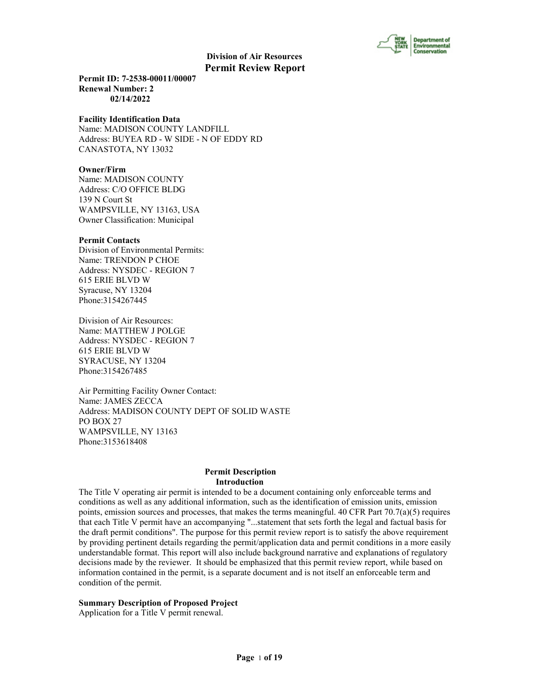

**Permit ID: 7-2538-00011/00007 Renewal Number: 2 02/14/2022**

#### **Facility Identification Data**

Name: MADISON COUNTY LANDFILL Address: BUYEA RD - W SIDE - N OF EDDY RD CANASTOTA, NY 13032

# **Owner/Firm**

Name: MADISON COUNTY Address: C/O OFFICE BLDG 139 N Court St WAMPSVILLE, NY 13163, USA Owner Classification: Municipal

#### **Permit Contacts**

Division of Environmental Permits: Name: TRENDON P CHOE Address: NYSDEC - REGION 7 615 ERIE BLVD W Syracuse, NY 13204 Phone:3154267445

Division of Air Resources: Name: MATTHEW J POLGE Address: NYSDEC - REGION 7 615 ERIE BLVD W SYRACUSE, NY 13204 Phone:3154267485

Air Permitting Facility Owner Contact: Name: JAMES ZECCA Address: MADISON COUNTY DEPT OF SOLID WASTE PO BOX 27 WAMPSVILLE, NY 13163 Phone:3153618408

#### **Permit Description Introduction**

The Title V operating air permit is intended to be a document containing only enforceable terms and conditions as well as any additional information, such as the identification of emission units, emission points, emission sources and processes, that makes the terms meaningful. 40 CFR Part  $70.7(a)(5)$  requires that each Title V permit have an accompanying "...statement that sets forth the legal and factual basis for the draft permit conditions". The purpose for this permit review report is to satisfy the above requirement by providing pertinent details regarding the permit/application data and permit conditions in a more easily understandable format. This report will also include background narrative and explanations of regulatory decisions made by the reviewer. It should be emphasized that this permit review report, while based on information contained in the permit, is a separate document and is not itself an enforceable term and condition of the permit.

### **Summary Description of Proposed Project**

Application for a Title V permit renewal.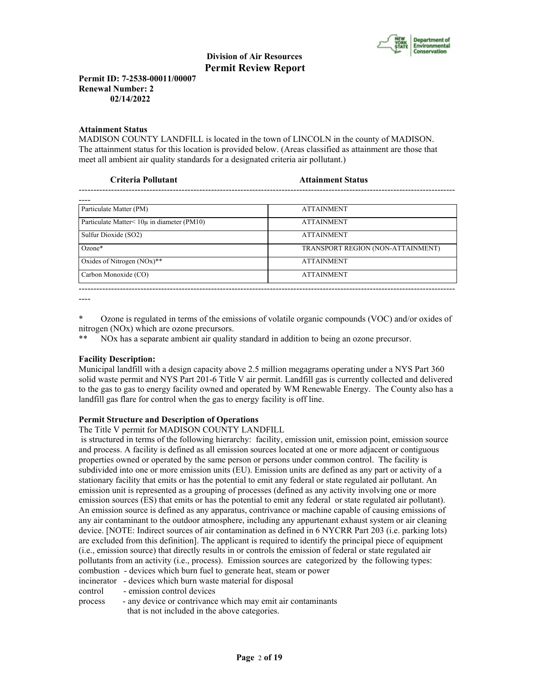

**Permit ID: 7-2538-00011/00007 Renewal Number: 2 02/14/2022**

#### **Attainment Status**

MADISON COUNTY LANDFILL is located in the town of LINCOLN in the county of MADISON. The attainment status for this location is provided below. (Areas classified as attainment are those that meet all ambient air quality standards for a designated criteria air pollutant.)

| <b>Attainment Status</b>          |
|-----------------------------------|
|                                   |
| <b>ATTAINMENT</b>                 |
| <b>ATTAINMENT</b>                 |
| <b>ATTAINMENT</b>                 |
| TRANSPORT REGION (NON-ATTAINMENT) |
| <b>ATTAINMENT</b>                 |
| <b>ATTAINMENT</b>                 |
|                                   |

----

\* Ozone is regulated in terms of the emissions of volatile organic compounds (VOC) and/or oxides of nitrogen (NOx) which are ozone precursors.

\*\* NOx has a separate ambient air quality standard in addition to being an ozone precursor.

# **Facility Description:**

Municipal landfill with a design capacity above 2.5 million megagrams operating under a NYS Part 360 solid waste permit and NYS Part 201-6 Title V air permit. Landfill gas is currently collected and delivered to the gas to gas to energy facility owned and operated by WM Renewable Energy. The County also has a landfill gas flare for control when the gas to energy facility is off line.

# **Permit Structure and Description of Operations**

The Title V permit for MADISON COUNTY LANDFILL

 is structured in terms of the following hierarchy: facility, emission unit, emission point, emission source and process. A facility is defined as all emission sources located at one or more adjacent or contiguous properties owned or operated by the same person or persons under common control. The facility is subdivided into one or more emission units (EU). Emission units are defined as any part or activity of a stationary facility that emits or has the potential to emit any federal or state regulated air pollutant. An emission unit is represented as a grouping of processes (defined as any activity involving one or more emission sources (ES) that emits or has the potential to emit any federal or state regulated air pollutant). An emission source is defined as any apparatus, contrivance or machine capable of causing emissions of any air contaminant to the outdoor atmosphere, including any appurtenant exhaust system or air cleaning device. [NOTE: Indirect sources of air contamination as defined in 6 NYCRR Part 203 (i.e. parking lots) are excluded from this definition]. The applicant is required to identify the principal piece of equipment (i.e., emission source) that directly results in or controls the emission of federal or state regulated air pollutants from an activity (i.e., process). Emission sources are categorized by the following types: combustion - devices which burn fuel to generate heat, steam or power

- incinerator devices which burn waste material for disposal
- control emission control devices

process - any device or contrivance which may emit air contaminants that is not included in the above categories.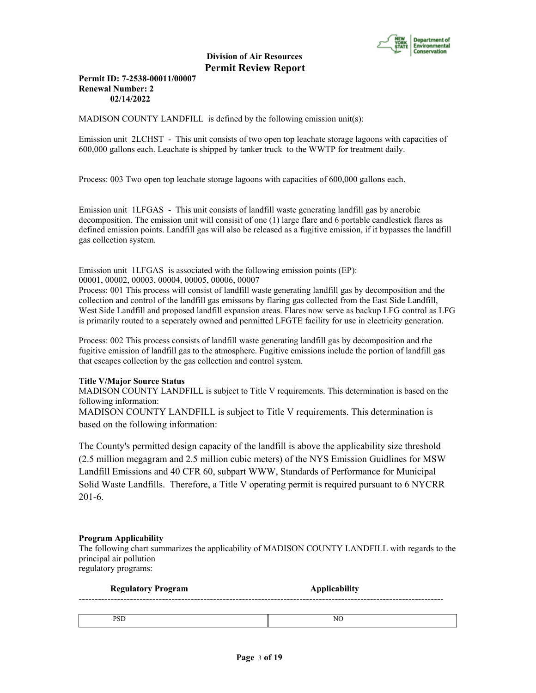

# **Permit ID: 7-2538-00011/00007 Renewal Number: 2 02/14/2022**

MADISON COUNTY LANDFILL is defined by the following emission unit(s):

Emission unit 2LCHST - This unit consists of two open top leachate storage lagoons with capacities of 600,000 gallons each. Leachate is shipped by tanker truck to the WWTP for treatment daily.

Process: 003 Two open top leachate storage lagoons with capacities of 600,000 gallons each.

Emission unit 1LFGAS - This unit consists of landfill waste generating landfill gas by anerobic decomposition. The emission unit will consisit of one (1) large flare and 6 portable candlestick flares as defined emission points. Landfill gas will also be released as a fugitive emission, if it bypasses the landfill gas collection system.

Emission unit 1LFGAS is associated with the following emission points (EP): 00001, 00002, 00003, 00004, 00005, 00006, 00007

Process: 001 This process will consist of landfill waste generating landfill gas by decomposition and the collection and control of the landfill gas emissons by flaring gas collected from the East Side Landfill, West Side Landfill and proposed landfill expansion areas. Flares now serve as backup LFG control as LFG is primarily routed to a seperately owned and permitted LFGTE facility for use in electricity generation.

Process: 002 This process consists of landfill waste generating landfill gas by decomposition and the fugitive emission of landfill gas to the atmosphere. Fugitive emissions include the portion of landfill gas that escapes collection by the gas collection and control system.

# **Title V/Major Source Status**

MADISON COUNTY LANDFILL is subject to Title V requirements. This determination is based on the following information:

MADISON COUNTY LANDFILL is subject to Title V requirements. This determination is based on the following information:

The County's permitted design capacity of the landfill is above the applicability size threshold (2.5 million megagram and 2.5 million cubic meters) of the NYS Emission Guidlines for MSW Landfill Emissions and 40 CFR 60, subpart WWW, Standards of Performance for Municipal Solid Waste Landfills. Therefore, a Title V operating permit is required pursuant to 6 NYCRR 201-6.

#### **Program Applicability**

The following chart summarizes the applicability of MADISON COUNTY LANDFILL with regards to the principal air pollution regulatory programs:

| <b>Regulatory Program</b> | <b>Applicability</b> |  |
|---------------------------|----------------------|--|
|                           |                      |  |
| <b>PSD</b>                | NO                   |  |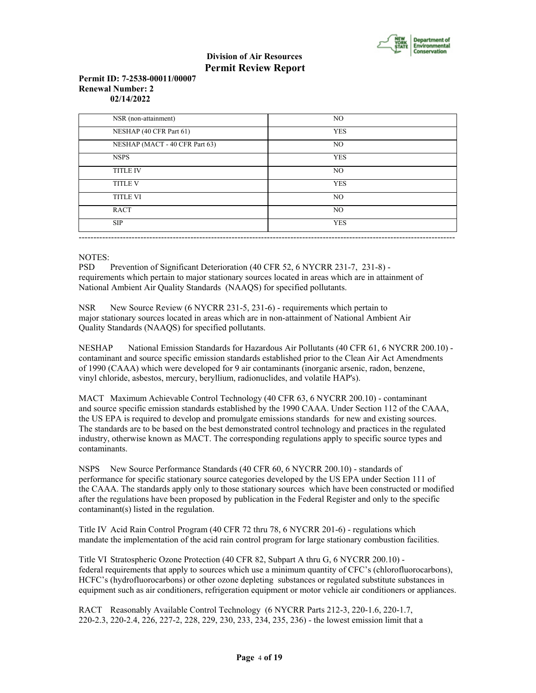

## **Permit ID: 7-2538-00011/00007 Renewal Number: 2 02/14/2022**

| NSR (non-attainment)           | NO.            |
|--------------------------------|----------------|
| NESHAP (40 CFR Part 61)        | <b>YES</b>     |
| NESHAP (MACT - 40 CFR Part 63) | NO.            |
| <b>NSPS</b>                    | <b>YES</b>     |
| <b>TITLE IV</b>                | NO.            |
| <b>TITLE V</b>                 | <b>YES</b>     |
| <b>TITLE VI</b>                | NO.            |
| <b>RACT</b>                    | N <sub>O</sub> |
| <b>SIP</b>                     | <b>YES</b>     |

# NOTES:

PSD Prevention of Significant Deterioration (40 CFR 52, 6 NYCRR 231-7, 231-8) requirements which pertain to major stationary sources located in areas which are in attainment of National Ambient Air Quality Standards (NAAQS) for specified pollutants.

NSR New Source Review (6 NYCRR 231-5, 231-6) - requirements which pertain to major stationary sources located in areas which are in non-attainment of National Ambient Air Quality Standards (NAAQS) for specified pollutants.

NESHAP National Emission Standards for Hazardous Air Pollutants (40 CFR 61, 6 NYCRR 200.10) contaminant and source specific emission standards established prior to the Clean Air Act Amendments of 1990 (CAAA) which were developed for 9 air contaminants (inorganic arsenic, radon, benzene, vinyl chloride, asbestos, mercury, beryllium, radionuclides, and volatile HAP's).

MACT Maximum Achievable Control Technology (40 CFR 63, 6 NYCRR 200.10) - contaminant and source specific emission standards established by the 1990 CAAA. Under Section 112 of the CAAA, the US EPA is required to develop and promulgate emissions standards for new and existing sources. The standards are to be based on the best demonstrated control technology and practices in the regulated industry, otherwise known as MACT. The corresponding regulations apply to specific source types and contaminants.

NSPS New Source Performance Standards (40 CFR 60, 6 NYCRR 200.10) - standards of performance for specific stationary source categories developed by the US EPA under Section 111 of the CAAA. The standards apply only to those stationary sources which have been constructed or modified after the regulations have been proposed by publication in the Federal Register and only to the specific contaminant(s) listed in the regulation.

Title IV Acid Rain Control Program (40 CFR 72 thru 78, 6 NYCRR 201-6) - regulations which mandate the implementation of the acid rain control program for large stationary combustion facilities.

Title VI Stratospheric Ozone Protection (40 CFR 82, Subpart A thru G, 6 NYCRR 200.10) federal requirements that apply to sources which use a minimum quantity of CFC's (chlorofluorocarbons), HCFC's (hydrofluorocarbons) or other ozone depleting substances or regulated substitute substances in equipment such as air conditioners, refrigeration equipment or motor vehicle air conditioners or appliances.

RACT Reasonably Available Control Technology (6 NYCRR Parts 212-3, 220-1.6, 220-1.7, 220-2.3, 220-2.4, 226, 227-2, 228, 229, 230, 233, 234, 235, 236) - the lowest emission limit that a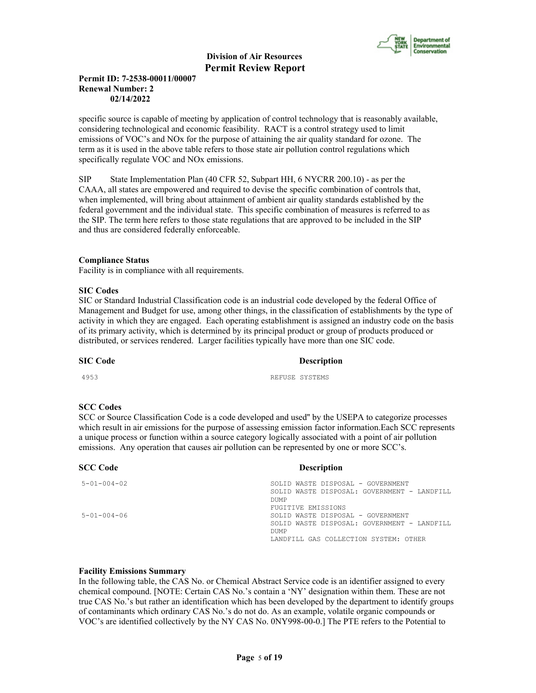

# **Permit ID: 7-2538-00011/00007 Renewal Number: 2 02/14/2022**

specific source is capable of meeting by application of control technology that is reasonably available, considering technological and economic feasibility. RACT is a control strategy used to limit emissions of VOC's and NOx for the purpose of attaining the air quality standard for ozone. The term as it is used in the above table refers to those state air pollution control regulations which specifically regulate VOC and NOx emissions.

SIP State Implementation Plan (40 CFR 52, Subpart HH, 6 NYCRR 200.10) - as per the CAAA, all states are empowered and required to devise the specific combination of controls that, when implemented, will bring about attainment of ambient air quality standards established by the federal government and the individual state. This specific combination of measures is referred to as the SIP. The term here refers to those state regulations that are approved to be included in the SIP and thus are considered federally enforceable.

# **Compliance Status**

Facility is in compliance with all requirements.

#### **SIC Codes**

SIC or Standard Industrial Classification code is an industrial code developed by the federal Office of Management and Budget for use, among other things, in the classification of establishments by the type of activity in which they are engaged. Each operating establishment is assigned an industry code on the basis of its primary activity, which is determined by its principal product or group of products produced or distributed, or services rendered. Larger facilities typically have more than one SIC code.

# **SIC Code** Description

4953 REFUSE SYSTEMS

#### **SCC Codes**

SCC or Source Classification Code is a code developed and used'' by the USEPA to categorize processes which result in air emissions for the purpose of assessing emission factor information.Each SCC represents a unique process or function within a source category logically associated with a point of air pollution emissions. Any operation that causes air pollution can be represented by one or more SCC's.

| <b>SCC Code</b>     | <b>Description</b>                                         |
|---------------------|------------------------------------------------------------|
| $5 - 01 - 004 - 02$ | SOLID WASTE DISPOSAL - GOVERNMENT                          |
|                     | SOLID WASTE DISPOSAL: GOVERNMENT - LANDFILL                |
|                     | <b>DUMP</b>                                                |
|                     | <b>FUGITIVE EMISSIONS</b>                                  |
| $5 - 01 - 004 - 06$ | SOLID WASTE DISPOSAL - GOVERNMENT                          |
|                     | SOLID WASTE DISPOSAL: GOVERNMENT - LANDFILL<br><b>DUMP</b> |
|                     | LANDFILL GAS COLLECTION SYSTEM: OTHER                      |

#### **Facility Emissions Summary**

In the following table, the CAS No. or Chemical Abstract Service code is an identifier assigned to every chemical compound. [NOTE: Certain CAS No.'s contain a 'NY' designation within them. These are not true CAS No.'s but rather an identification which has been developed by the department to identify groups of contaminants which ordinary CAS No.'s do not do. As an example, volatile organic compounds or VOC's are identified collectively by the NY CAS No. 0NY998-00-0.] The PTE refers to the Potential to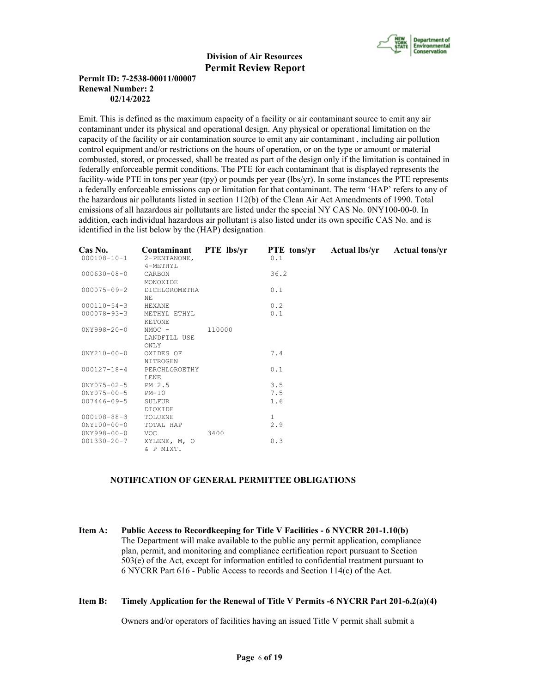

# **Permit ID: 7-2538-00011/00007 Renewal Number: 2 02/14/2022**

Emit. This is defined as the maximum capacity of a facility or air contaminant source to emit any air contaminant under its physical and operational design. Any physical or operational limitation on the capacity of the facility or air contamination source to emit any air contaminant , including air pollution control equipment and/or restrictions on the hours of operation, or on the type or amount or material combusted, stored, or processed, shall be treated as part of the design only if the limitation is contained in federally enforceable permit conditions. The PTE for each contaminant that is displayed represents the facility-wide PTE in tons per year (tpy) or pounds per year (lbs/yr). In some instances the PTE represents a federally enforceable emissions cap or limitation for that contaminant. The term 'HAP' refers to any of the hazardous air pollutants listed in section 112(b) of the Clean Air Act Amendments of 1990. Total emissions of all hazardous air pollutants are listed under the special NY CAS No. 0NY100-00-0. In addition, each individual hazardous air pollutant is also listed under its own specific CAS No. and is identified in the list below by the (HAP) designation.

| Cas No.<br>$000108 - 10 - 1$ | Contaminant<br>2-PENTANONE,<br>4-METHYL | <b>PTE</b> lbs/yr | <b>PTE</b> tons/yr<br>0.1 | Actual lbs/yr | <b>Actual tons/yr</b> |
|------------------------------|-----------------------------------------|-------------------|---------------------------|---------------|-----------------------|
| $000630 - 08 - 0$            | CARBON<br>MONOXIDE                      |                   | 36.2                      |               |                       |
| $000075 - 09 - 2$            | DICHLOROMETHA<br>NF.                    |                   | 0.1                       |               |                       |
| $000110 - 54 - 3$            | HEXANE                                  |                   | 0.2                       |               |                       |
| $000078 - 93 - 3$            | METHYL ETHYL<br>KETONE                  |                   | 0.1                       |               |                       |
| $0NY998 - 20 - 0$            | $NMOC -$<br>LANDFILL USE<br>ONLY        | 110000            |                           |               |                       |
| $0NY210-00-0$                | OXIDES OF<br>NITROGEN                   |                   | 7.4                       |               |                       |
| $000127 - 18 - 4$            | PERCHLOROETHY<br>LENE                   |                   | 0.1                       |               |                       |
| $0NY075 - 02 - 5$            | PM 2.5                                  |                   | 3.5                       |               |                       |
| $0NY075 - 00 - 5$            | $PM-10$                                 |                   | 7.5                       |               |                       |
| $007446 - 09 - 5$            | SULFUR<br>DIOXIDE                       |                   | 1.6                       |               |                       |
| $000108 - 88 - 3$            | TOLUENE                                 |                   | $\mathbf{1}$              |               |                       |
| $0'NY100-00-0$               | TOTAL HAP                               |                   | 2.9                       |               |                       |
| $0NY998 - 00 - 0$            | VOC                                     | 3400              |                           |               |                       |
| $001330 - 20 - 7$            | XYLENE, M, O<br>& P MIXT.               |                   | 0.3                       |               |                       |

#### **NOTIFICATION OF GENERAL PERMITTEE OBLIGATIONS**

**Item A: Public Access to Recordkeeping for Title V Facilities - 6 NYCRR 201-1.10(b)** The Department will make available to the public any permit application, compliance plan, permit, and monitoring and compliance certification report pursuant to Section 503(e) of the Act, except for information entitled to confidential treatment pursuant to 6 NYCRR Part 616 - Public Access to records and Section 114(c) of the Act.

#### **Item B: Timely Application for the Renewal of Title V Permits -6 NYCRR Part 201-6.2(a)(4)**

Owners and/or operators of facilities having an issued Title V permit shall submit a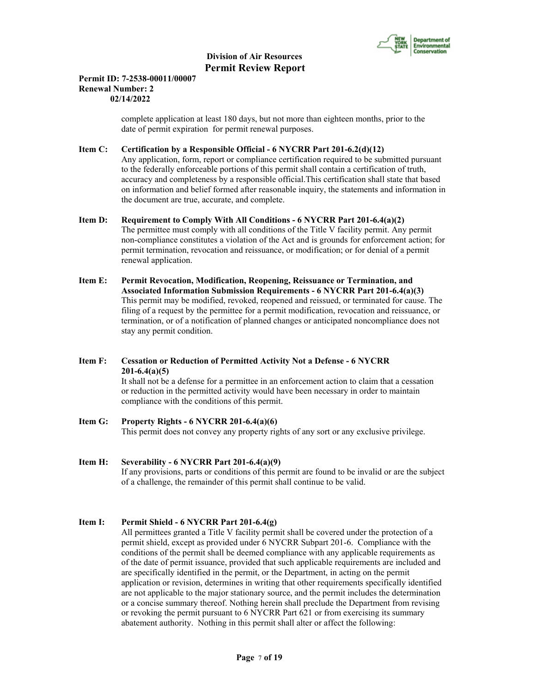

# **Permit ID: 7-2538-00011/00007 Renewal Number: 2 02/14/2022**

 complete application at least 180 days, but not more than eighteen months, prior to the date of permit expiration for permit renewal purposes.

# **Item C: Certification by a Responsible Official - 6 NYCRR Part 201-6.2(d)(12)**

 Any application, form, report or compliance certification required to be submitted pursuant to the federally enforceable portions of this permit shall contain a certification of truth, accuracy and completeness by a responsible official.This certification shall state that based on information and belief formed after reasonable inquiry, the statements and information in the document are true, accurate, and complete.

#### **Item D: Requirement to Comply With All Conditions - 6 NYCRR Part 201-6.4(a)(2)**

 The permittee must comply with all conditions of the Title V facility permit. Any permit non-compliance constitutes a violation of the Act and is grounds for enforcement action; for permit termination, revocation and reissuance, or modification; or for denial of a permit renewal application.

- **Item E: Permit Revocation, Modification, Reopening, Reissuance or Termination, and Associated Information Submission Requirements - 6 NYCRR Part 201-6.4(a)(3)** This permit may be modified, revoked, reopened and reissued, or terminated for cause. The filing of a request by the permittee for a permit modification, revocation and reissuance, or termination, or of a notification of planned changes or anticipated noncompliance does not stay any permit condition.
- **Item F: Cessation or Reduction of Permitted Activity Not a Defense 6 NYCRR 201-6.4(a)(5)** It shall not be a defense for a permittee in an enforcement action to claim that a cessation or reduction in the permitted activity would have been necessary in order to maintain compliance with the conditions of this permit.
- **Item G: Property Rights 6 NYCRR 201-6.4(a)(6)** This permit does not convey any property rights of any sort or any exclusive privilege.

# **Item H: Severability - 6 NYCRR Part 201-6.4(a)(9)** If any provisions, parts or conditions of this permit are found to be invalid or are the subject of a challenge, the remainder of this permit shall continue to be valid.

# **Item I: Permit Shield - 6 NYCRR Part 201-6.4(g)**

 All permittees granted a Title V facility permit shall be covered under the protection of a permit shield, except as provided under 6 NYCRR Subpart 201-6. Compliance with the conditions of the permit shall be deemed compliance with any applicable requirements as of the date of permit issuance, provided that such applicable requirements are included and are specifically identified in the permit, or the Department, in acting on the permit application or revision, determines in writing that other requirements specifically identified are not applicable to the major stationary source, and the permit includes the determination or a concise summary thereof. Nothing herein shall preclude the Department from revising or revoking the permit pursuant to 6 NYCRR Part 621 or from exercising its summary abatement authority. Nothing in this permit shall alter or affect the following: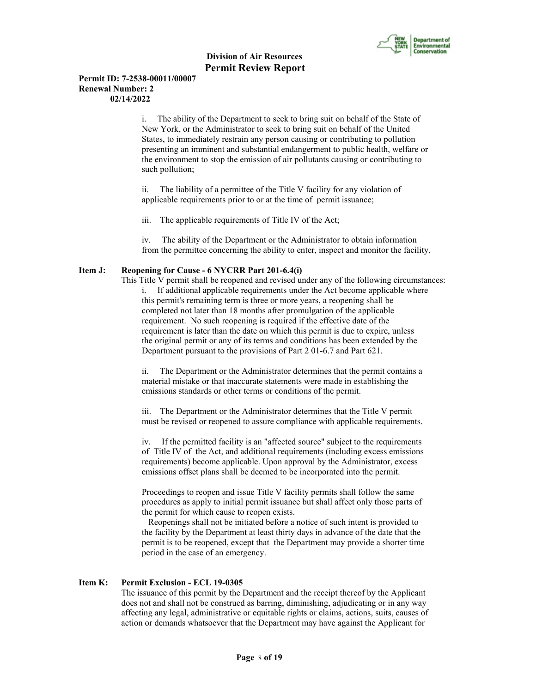

# **Permit ID: 7-2538-00011/00007 Renewal Number: 2 02/14/2022**

i. The ability of the Department to seek to bring suit on behalf of the State of New York, or the Administrator to seek to bring suit on behalf of the United States, to immediately restrain any person causing or contributing to pollution presenting an imminent and substantial endangerment to public health, welfare or the environment to stop the emission of air pollutants causing or contributing to such pollution;

ii. The liability of a permittee of the Title V facility for any violation of applicable requirements prior to or at the time of permit issuance;

iii. The applicable requirements of Title IV of the Act;

iv. The ability of the Department or the Administrator to obtain information from the permittee concerning the ability to enter, inspect and monitor the facility.

# **Item J: Reopening for Cause - 6 NYCRR Part 201-6.4(i)**

 This Title V permit shall be reopened and revised under any of the following circumstances: i. If additional applicable requirements under the Act become applicable where this permit's remaining term is three or more years, a reopening shall be completed not later than 18 months after promulgation of the applicable requirement. No such reopening is required if the effective date of the requirement is later than the date on which this permit is due to expire, unless the original permit or any of its terms and conditions has been extended by the Department pursuant to the provisions of Part 2 01-6.7 and Part 621.

ii. The Department or the Administrator determines that the permit contains a material mistake or that inaccurate statements were made in establishing the emissions standards or other terms or conditions of the permit.

iii. The Department or the Administrator determines that the Title V permit must be revised or reopened to assure compliance with applicable requirements.

iv. If the permitted facility is an "affected source" subject to the requirements of Title IV of the Act, and additional requirements (including excess emissions requirements) become applicable. Upon approval by the Administrator, excess emissions offset plans shall be deemed to be incorporated into the permit.

Proceedings to reopen and issue Title V facility permits shall follow the same procedures as apply to initial permit issuance but shall affect only those parts of the permit for which cause to reopen exists.

 Reopenings shall not be initiated before a notice of such intent is provided to the facility by the Department at least thirty days in advance of the date that the permit is to be reopened, except that the Department may provide a shorter time period in the case of an emergency.

# **Item K: Permit Exclusion - ECL 19-0305**

 The issuance of this permit by the Department and the receipt thereof by the Applicant does not and shall not be construed as barring, diminishing, adjudicating or in any way affecting any legal, administrative or equitable rights or claims, actions, suits, causes of action or demands whatsoever that the Department may have against the Applicant for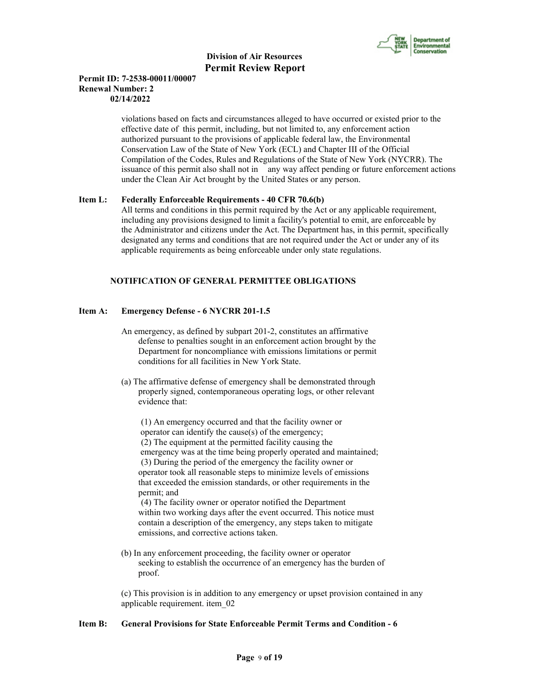

# **Permit ID: 7-2538-00011/00007 Renewal Number: 2 02/14/2022**

 violations based on facts and circumstances alleged to have occurred or existed prior to the effective date of this permit, including, but not limited to, any enforcement action authorized pursuant to the provisions of applicable federal law, the Environmental Conservation Law of the State of New York (ECL) and Chapter III of the Official Compilation of the Codes, Rules and Regulations of the State of New York (NYCRR). The issuance of this permit also shall not in any way affect pending or future enforcement actions under the Clean Air Act brought by the United States or any person.

# **Item L: Federally Enforceable Requirements - 40 CFR 70.6(b)**

 All terms and conditions in this permit required by the Act or any applicable requirement, including any provisions designed to limit a facility's potential to emit, are enforceable by the Administrator and citizens under the Act. The Department has, in this permit, specifically designated any terms and conditions that are not required under the Act or under any of its applicable requirements as being enforceable under only state regulations.

# **NOTIFICATION OF GENERAL PERMITTEE OBLIGATIONS**

# **Item A: Emergency Defense - 6 NYCRR 201-1.5**

- An emergency, as defined by subpart 201-2, constitutes an affirmative defense to penalties sought in an enforcement action brought by the Department for noncompliance with emissions limitations or permit conditions for all facilities in New York State.
- (a) The affirmative defense of emergency shall be demonstrated through properly signed, contemporaneous operating logs, or other relevant evidence that:

 (1) An emergency occurred and that the facility owner or operator can identify the cause(s) of the emergency; (2) The equipment at the permitted facility causing the emergency was at the time being properly operated and maintained; (3) During the period of the emergency the facility owner or operator took all reasonable steps to minimize levels of emissions that exceeded the emission standards, or other requirements in the permit; and

 (4) The facility owner or operator notified the Department within two working days after the event occurred. This notice must contain a description of the emergency, any steps taken to mitigate emissions, and corrective actions taken.

 (b) In any enforcement proceeding, the facility owner or operator seeking to establish the occurrence of an emergency has the burden of proof.

 (c) This provision is in addition to any emergency or upset provision contained in any applicable requirement. item\_02

#### **Item B: General Provisions for State Enforceable Permit Terms and Condition - 6**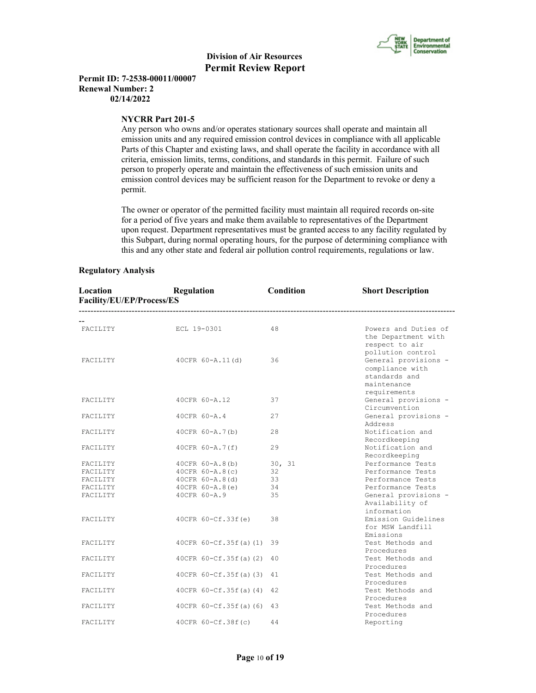

**Permit ID: 7-2538-00011/00007 Renewal Number: 2 02/14/2022**

#### **NYCRR Part 201-5**

 Any person who owns and/or operates stationary sources shall operate and maintain all emission units and any required emission control devices in compliance with all applicable Parts of this Chapter and existing laws, and shall operate the facility in accordance with all criteria, emission limits, terms, conditions, and standards in this permit. Failure of such person to properly operate and maintain the effectiveness of such emission units and emission control devices may be sufficient reason for the Department to revoke or deny a permit.

 The owner or operator of the permitted facility must maintain all required records on-site for a period of five years and make them available to representatives of the Department upon request. Department representatives must be granted access to any facility regulated by this Subpart, during normal operating hours, for the purpose of determining compliance with this and any other state and federal air pollution control requirements, regulations or law.

#### **Regulatory Analysis**

| Location<br>Facility/EU/EP/Process/ES | Regulation               | Condition | <b>Short Description</b>                                                                |
|---------------------------------------|--------------------------|-----------|-----------------------------------------------------------------------------------------|
|                                       |                          |           |                                                                                         |
| FACILITY                              | ECL 19-0301              | 48        | Powers and Duties of<br>the Department with<br>respect to air<br>pollution control      |
| FACILITY                              | 40CFR 60-A.11(d)         | 36        | General provisions -<br>compliance with<br>standards and<br>maintenance<br>requirements |
| FACILITY                              | 40CFR 60-A.12            | 37        | General provisions -<br>Circumvention                                                   |
| FACILITY                              | 40CFR 60-A.4             | 27        | General provisions -<br>Address                                                         |
| FACILITY                              | 40CFR 60-A.7(b)          | 28        | Notification and<br>Recordkeeping                                                       |
| FACILITY                              | 40CFR 60-A.7(f)          | 29        | Notification and<br>Recordkeeping                                                       |
| FACILITY                              | $40CFR 60 - A.8(b)$      | 30, 31    | Performance Tests                                                                       |
| FACILITY                              | $40CFR 60 - A.8(c)$      | 32        | Performance Tests                                                                       |
| FACILITY                              | $40CFR 60 - A.8(d)$      | 33        | Performance Tests                                                                       |
| FACILITY                              | $40CFR 60 - A.8(e)$      | 34        | Performance Tests                                                                       |
| FACILITY                              | 40CFR 60-A.9             | 35        | General provisions -<br>Availability of<br>information                                  |
| FACILITY                              | 40CFR 60-Cf.33f(e)       | 38        | Emission Guidelines<br>for MSW Landfill<br>Emissions                                    |
| FACILITY                              | $40CFR 60-Cf.35f(a) (1)$ | 39        | Test Methods and<br>Procedures                                                          |
| FACILITY                              | $40CFR 60-Cf.35f(a) (2)$ | 40        | Test Methods and<br>Procedures                                                          |
| FACILITY                              | $40CFR 60-Cf.35f(a) (3)$ | 41        | Test Methods and<br>Procedures                                                          |
| FACILITY                              | 40CFR 60-Cf.35f(a)(4)    | 42        | Test Methods and<br>Procedures                                                          |
| FACILITY                              | $40CFR 60-Cf.35f(a)(6)$  | 43        | Test Methods and<br>Procedures                                                          |
| FACILITY                              | 40CFR 60-Cf.38f(c)       | 44        | Reporting                                                                               |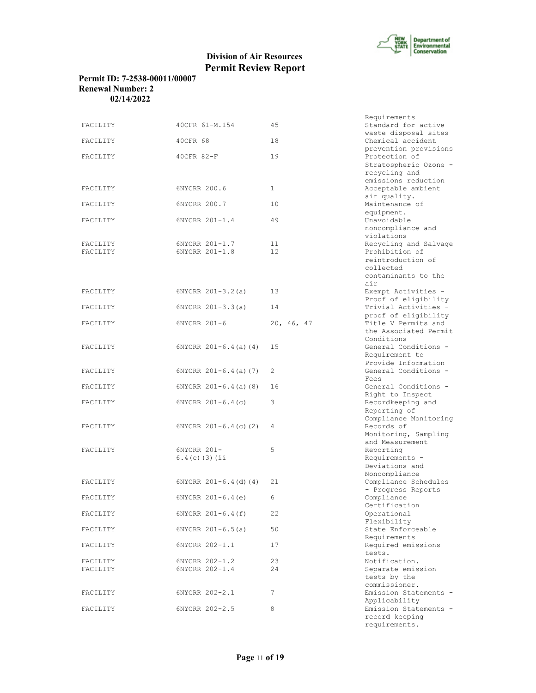

# **Permit ID: 7-2538-00011/00007 Renewal Number: 2 02/14/2022**

| FACILITY             | 40CFR 61-M.154                   | 45           | Requirements<br>Standard for active                                                                     |
|----------------------|----------------------------------|--------------|---------------------------------------------------------------------------------------------------------|
| FACILITY             | 40CFR 68                         | 18           | waste disposal sites<br>Chemical accident                                                               |
| FACILITY             | 40CFR 82-F                       | 19           | prevention provisions<br>Protection of<br>Stratospheric Ozone -<br>recycling and                        |
| FACILITY             | 6NYCRR 200.6                     | $\mathbf{1}$ | emissions reduction<br>Acceptable ambient<br>air quality.                                               |
| FACILITY             | 6NYCRR 200.7                     | 10           | Maintenance of<br>equipment.                                                                            |
| FACILITY             | 6NYCRR 201-1.4                   | 49           | Unavoidable<br>noncompliance and<br>violations                                                          |
| FACILITY<br>FACILITY | 6NYCRR 201-1.7<br>6NYCRR 201-1.8 | 11<br>12     | Recycling and Salvage<br>Prohibition of<br>reintroduction of<br>collected<br>contaminants to the<br>air |
| FACILITY             | $6NYCRR 201-3.2(a)$              | 13           | Exempt Activities -<br>Proof of eligibility                                                             |
| FACILITY             | $6NYCRR 201-3.3(a)$              | 14           | Trivial Activities -<br>proof of eligibility                                                            |
| FACILITY             | 6NYCRR 201-6                     | 20, 46, 47   | Title V Permits and<br>the Associated Permit<br>Conditions                                              |
| FACILITY             | $6NYCRR 201-6.4(a) (4)$          | 15           | General Conditions -<br>Requirement to<br>Provide Information                                           |
| FACILITY             | $6NYCRR 201-6.4(a) (7)$          | 2            | General Conditions -<br>Fees                                                                            |
| FACILITY             | $6NYCRR 201-6.4(a)$ (8)          | 16           | General Conditions -<br>Right to Inspect                                                                |
| FACILITY             | $6NYCRR 201-6.4(c)$              | 3            | Recordkeeping and<br>Reporting of<br>Compliance Monitoring                                              |
| FACILITY             | $6NYCRR$ $201-6.4(c)$ (2)        | 4            | Records of<br>Monitoring, Sampling<br>and Measurement                                                   |
| FACILITY             | 6NYCRR 201-<br>$6.4(c)$ (3) (ii  | 5            | Reporting<br>Requirements -<br>Deviations and                                                           |
| FACILITY             | $6NYCRR 201-6.4$ (d) (4)         | 21           | Noncompliance<br>Compliance Schedules                                                                   |
| FACILITY             | $6NYCRR 201-6.4(e)$              | 6            | - Progress Reports<br>Compliance<br>Certification                                                       |
| FACILITY             | 6NYCRR 201-6.4(f)                | 22           | Operational<br>Flexibility                                                                              |
| FACILITY             | $6NYCRR 201-6.5(a)$              | 50           | State Enforceable<br>Requirements                                                                       |
| FACILITY             | 6NYCRR 202-1.1                   | 17           | Required emissions<br>tests.                                                                            |
| FACILITY<br>FACILITY | 6NYCRR 202-1.2<br>6NYCRR 202-1.4 | 23<br>24     | Notification.<br>Separate emission                                                                      |
|                      |                                  |              | tests by the<br>commissioner.                                                                           |
| FACILITY             | 6NYCRR 202-2.1                   | 7            | Emission Statements -<br>Applicability                                                                  |
| FACILITY             | 6NYCRR 202-2.5                   | 8            | Emission Statements -<br>record keeping<br>requirements.                                                |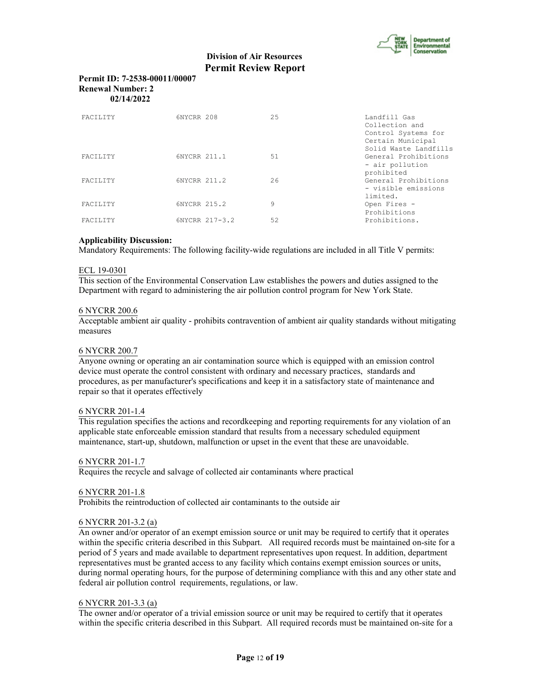

# **Permit ID: 7-2538-00011/00007 Renewal Number: 2 02/14/2022**

| <b>FACTLITY</b> | 6NYCRR 208     | 25 | Landfill Gas<br>Collection and<br>Control Systems for<br>Certain Municipal |
|-----------------|----------------|----|----------------------------------------------------------------------------|
| <b>FACTLITY</b> | 6NYCRR 211.1   | 51 | Solid Waste Landfills<br>General Prohibitions                              |
|                 |                |    | - air pollution<br>prohibited                                              |
| FACILITY        | 6NYCRR 211.2   | 26 | General Prohibitions<br>- visible emissions                                |
| <b>FACTLITY</b> | 6NYCRR 215.2   | 9  | limited.<br>Open Fires -<br>Prohibitions                                   |
| <b>FACTLITY</b> | 6NYCRR 217-3.2 | 52 | Prohibitions.                                                              |

# **Applicability Discussion:**

Mandatory Requirements: The following facility-wide regulations are included in all Title V permits:

## ECL 19-0301

This section of the Environmental Conservation Law establishes the powers and duties assigned to the Department with regard to administering the air pollution control program for New York State.

#### 6 NYCRR 200.6

Acceptable ambient air quality - prohibits contravention of ambient air quality standards without mitigating measures

#### 6 NYCRR 200.7

Anyone owning or operating an air contamination source which is equipped with an emission control device must operate the control consistent with ordinary and necessary practices, standards and procedures, as per manufacturer's specifications and keep it in a satisfactory state of maintenance and repair so that it operates effectively

#### 6 NYCRR 201-1.4

This regulation specifies the actions and recordkeeping and reporting requirements for any violation of an applicable state enforceable emission standard that results from a necessary scheduled equipment maintenance, start-up, shutdown, malfunction or upset in the event that these are unavoidable.

#### 6 NYCRR 201-1.7

Requires the recycle and salvage of collected air contaminants where practical

#### 6 NYCRR 201-1.8

Prohibits the reintroduction of collected air contaminants to the outside air

#### 6 NYCRR 201-3.2 (a)

An owner and/or operator of an exempt emission source or unit may be required to certify that it operates within the specific criteria described in this Subpart. All required records must be maintained on-site for a period of 5 years and made available to department representatives upon request. In addition, department representatives must be granted access to any facility which contains exempt emission sources or units, during normal operating hours, for the purpose of determining compliance with this and any other state and federal air pollution control requirements, regulations, or law.

#### 6 NYCRR 201-3.3 (a)

The owner and/or operator of a trivial emission source or unit may be required to certify that it operates within the specific criteria described in this Subpart. All required records must be maintained on-site for a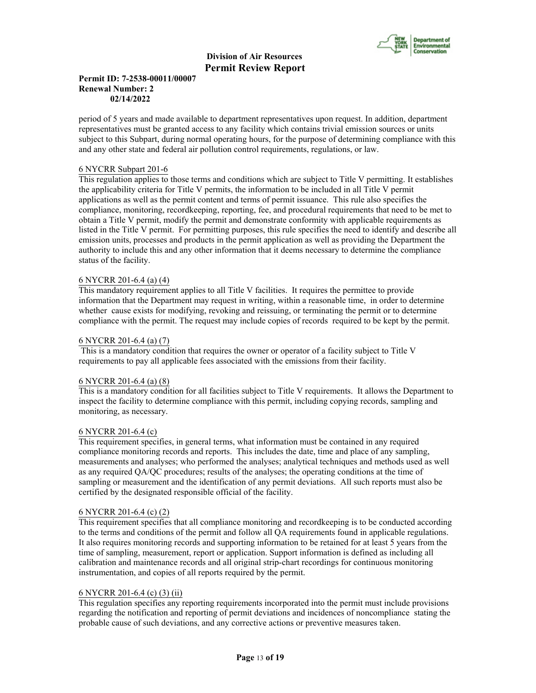

# **Permit ID: 7-2538-00011/00007 Renewal Number: 2 02/14/2022**

period of 5 years and made available to department representatives upon request. In addition, department representatives must be granted access to any facility which contains trivial emission sources or units subject to this Subpart, during normal operating hours, for the purpose of determining compliance with this and any other state and federal air pollution control requirements, regulations, or law.

# 6 NYCRR Subpart 201-6

This regulation applies to those terms and conditions which are subject to Title V permitting. It establishes the applicability criteria for Title V permits, the information to be included in all Title V permit applications as well as the permit content and terms of permit issuance. This rule also specifies the compliance, monitoring, recordkeeping, reporting, fee, and procedural requirements that need to be met to obtain a Title V permit, modify the permit and demonstrate conformity with applicable requirements as listed in the Title V permit. For permitting purposes, this rule specifies the need to identify and describe all emission units, processes and products in the permit application as well as providing the Department the authority to include this and any other information that it deems necessary to determine the compliance status of the facility.

# 6 NYCRR 201-6.4 (a) (4)

This mandatory requirement applies to all Title V facilities. It requires the permittee to provide information that the Department may request in writing, within a reasonable time, in order to determine whether cause exists for modifying, revoking and reissuing, or terminating the permit or to determine compliance with the permit. The request may include copies of records required to be kept by the permit.

#### 6 NYCRR 201-6.4 (a) (7)

 This is a mandatory condition that requires the owner or operator of a facility subject to Title V requirements to pay all applicable fees associated with the emissions from their facility.

#### 6 NYCRR 201-6.4 (a) (8)

This is a mandatory condition for all facilities subject to Title V requirements. It allows the Department to inspect the facility to determine compliance with this permit, including copying records, sampling and monitoring, as necessary.

#### 6 NYCRR 201-6.4 (c)

This requirement specifies, in general terms, what information must be contained in any required compliance monitoring records and reports. This includes the date, time and place of any sampling, measurements and analyses; who performed the analyses; analytical techniques and methods used as well as any required QA/QC procedures; results of the analyses; the operating conditions at the time of sampling or measurement and the identification of any permit deviations. All such reports must also be certified by the designated responsible official of the facility.

#### 6 NYCRR 201-6.4 (c) (2)

This requirement specifies that all compliance monitoring and recordkeeping is to be conducted according to the terms and conditions of the permit and follow all QA requirements found in applicable regulations. It also requires monitoring records and supporting information to be retained for at least 5 years from the time of sampling, measurement, report or application. Support information is defined as including all calibration and maintenance records and all original strip-chart recordings for continuous monitoring instrumentation, and copies of all reports required by the permit.

# 6 NYCRR 201-6.4 (c) (3) (ii)

This regulation specifies any reporting requirements incorporated into the permit must include provisions regarding the notification and reporting of permit deviations and incidences of noncompliance stating the probable cause of such deviations, and any corrective actions or preventive measures taken.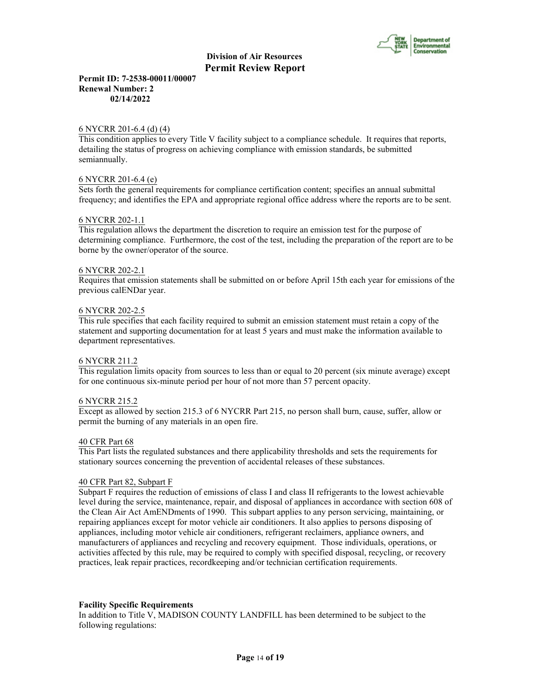

**Permit ID: 7-2538-00011/00007 Renewal Number: 2 02/14/2022**

#### 6 NYCRR 201-6.4 (d) (4)

This condition applies to every Title V facility subject to a compliance schedule. It requires that reports, detailing the status of progress on achieving compliance with emission standards, be submitted semiannually.

#### 6 NYCRR 201-6.4 (e)

Sets forth the general requirements for compliance certification content; specifies an annual submittal frequency; and identifies the EPA and appropriate regional office address where the reports are to be sent.

#### 6 NYCRR 202-1.1

This regulation allows the department the discretion to require an emission test for the purpose of determining compliance. Furthermore, the cost of the test, including the preparation of the report are to be borne by the owner/operator of the source.

#### 6 NYCRR 202-2.1

Requires that emission statements shall be submitted on or before April 15th each year for emissions of the previous calENDar year.

#### 6 NYCRR 202-2.5

This rule specifies that each facility required to submit an emission statement must retain a copy of the statement and supporting documentation for at least 5 years and must make the information available to department representatives.

#### 6 NYCRR 211.2

This regulation limits opacity from sources to less than or equal to 20 percent (six minute average) except for one continuous six-minute period per hour of not more than 57 percent opacity.

#### 6 NYCRR 215.2

Except as allowed by section 215.3 of 6 NYCRR Part 215, no person shall burn, cause, suffer, allow or permit the burning of any materials in an open fire.

#### 40 CFR Part 68

This Part lists the regulated substances and there applicability thresholds and sets the requirements for stationary sources concerning the prevention of accidental releases of these substances.

#### 40 CFR Part 82, Subpart F

Subpart F requires the reduction of emissions of class I and class II refrigerants to the lowest achievable level during the service, maintenance, repair, and disposal of appliances in accordance with section 608 of the Clean Air Act AmENDments of 1990. This subpart applies to any person servicing, maintaining, or repairing appliances except for motor vehicle air conditioners. It also applies to persons disposing of appliances, including motor vehicle air conditioners, refrigerant reclaimers, appliance owners, and manufacturers of appliances and recycling and recovery equipment. Those individuals, operations, or activities affected by this rule, may be required to comply with specified disposal, recycling, or recovery practices, leak repair practices, recordkeeping and/or technician certification requirements.

#### **Facility Specific Requirements**

In addition to Title V, MADISON COUNTY LANDFILL has been determined to be subject to the following regulations: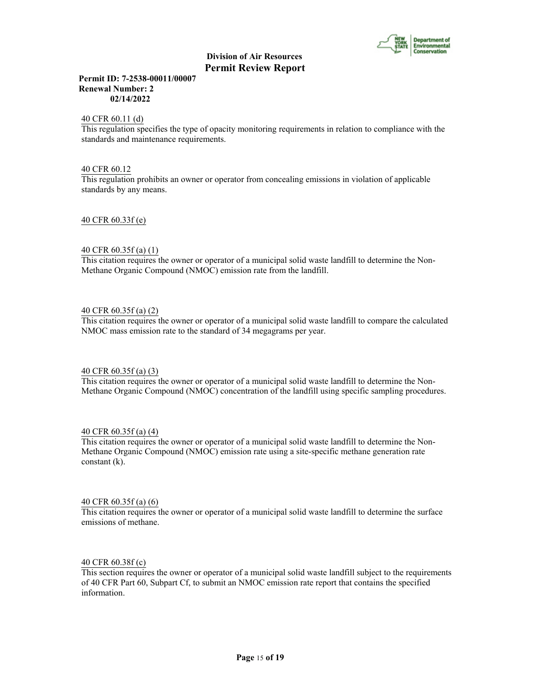

**Permit ID: 7-2538-00011/00007 Renewal Number: 2 02/14/2022**

40 CFR 60.11 (d)

This regulation specifies the type of opacity monitoring requirements in relation to compliance with the standards and maintenance requirements.

40 CFR 60.12

This regulation prohibits an owner or operator from concealing emissions in violation of applicable standards by any means.

40 CFR 60.33f (e)

#### 40 CFR 60.35f (a) (1)

This citation requires the owner or operator of a municipal solid waste landfill to determine the Non-Methane Organic Compound (NMOC) emission rate from the landfill.

#### 40 CFR 60.35f (a) (2)

This citation requires the owner or operator of a municipal solid waste landfill to compare the calculated NMOC mass emission rate to the standard of 34 megagrams per year.

#### 40 CFR 60.35f (a) (3)

This citation requires the owner or operator of a municipal solid waste landfill to determine the Non-Methane Organic Compound (NMOC) concentration of the landfill using specific sampling procedures.

40 CFR 60.35f (a) (4)

This citation requires the owner or operator of a municipal solid waste landfill to determine the Non-Methane Organic Compound (NMOC) emission rate using a site-specific methane generation rate constant (k).

#### 40 CFR 60.35f (a) (6)

This citation requires the owner or operator of a municipal solid waste landfill to determine the surface emissions of methane.

#### 40 CFR 60.38f (c)

This section requires the owner or operator of a municipal solid waste landfill subject to the requirements of 40 CFR Part 60, Subpart Cf, to submit an NMOC emission rate report that contains the specified information.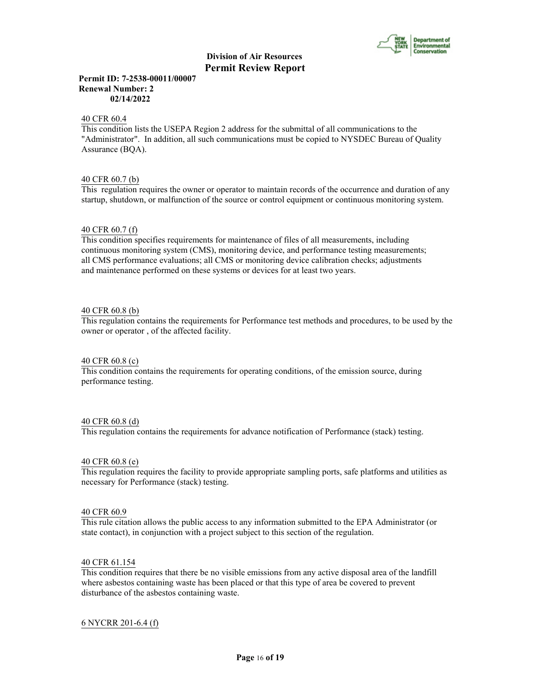

## **Permit ID: 7-2538-00011/00007 Renewal Number: 2 02/14/2022**

#### 40 CFR 60.4

This condition lists the USEPA Region 2 address for the submittal of all communications to the "Administrator". In addition, all such communications must be copied to NYSDEC Bureau of Quality Assurance (BQA).

#### 40 CFR 60.7 (b)

This regulation requires the owner or operator to maintain records of the occurrence and duration of any startup, shutdown, or malfunction of the source or control equipment or continuous monitoring system.

### 40 CFR 60.7 (f)

This condition specifies requirements for maintenance of files of all measurements, including continuous monitoring system (CMS), monitoring device, and performance testing measurements; all CMS performance evaluations; all CMS or monitoring device calibration checks; adjustments and maintenance performed on these systems or devices for at least two years.

#### 40 CFR 60.8 (b)

This regulation contains the requirements for Performance test methods and procedures, to be used by the owner or operator , of the affected facility.

#### 40 CFR 60.8 (c)

This condition contains the requirements for operating conditions, of the emission source, during performance testing.

#### 40 CFR 60.8 (d)

This regulation contains the requirements for advance notification of Performance (stack) testing.

#### 40 CFR 60.8 (e)

This regulation requires the facility to provide appropriate sampling ports, safe platforms and utilities as necessary for Performance (stack) testing.

#### 40 CFR 60.9

This rule citation allows the public access to any information submitted to the EPA Administrator (or state contact), in conjunction with a project subject to this section of the regulation.

## 40 CFR 61.154

This condition requires that there be no visible emissions from any active disposal area of the landfill where asbestos containing waste has been placed or that this type of area be covered to prevent disturbance of the asbestos containing waste.

#### 6 NYCRR 201-6.4 (f)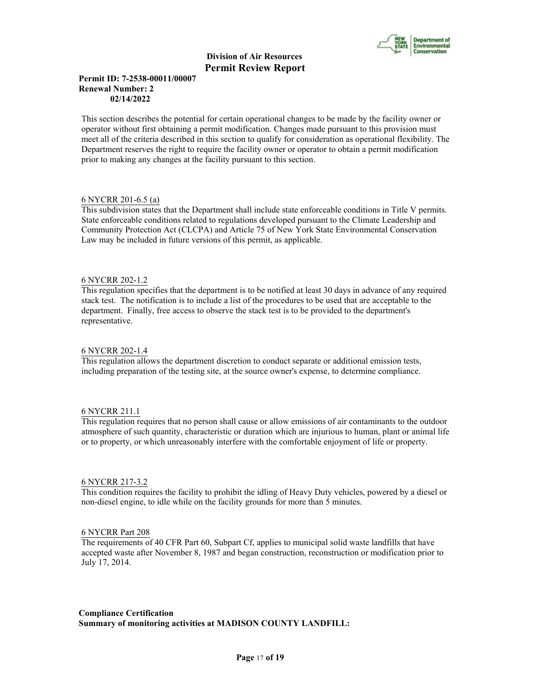

# **Permit ID: 7-2538-00011/00007 Renewal Number: 2 02/14/2022**

This section describes the potential for certain operational changes to be made by the facility owner or operator without first obtaining a permit modification. Changes made pursuant to this provision must meet all of the criteria described in this section to qualify for consideration as operational flexibility. The Department reserves the right to require the facility owner or operator to obtain a permit modification prior to making any changes at the facility pursuant to this section.

# 6 NYCRR 201-6.5 (a)

This subdivision states that the Department shall include state enforceable conditions in Title V permits. State enforceable conditions related to regulations developed pursuant to the Climate Leadership and Community Protection Act (CLCPA) and Article 75 of New York State Environmental Conservation Law may be included in future versions of this permit, as applicable.

# 6 NYCRR 202-1.2

This regulation specifies that the department is to be notified at least 30 days in advance of any required stack test. The notification is to include a list of the procedures to be used that are acceptable to the department. Finally, free access to observe the stack test is to be provided to the department's representative.

## 6 NYCRR 202-1.4

This regulation allows the department discretion to conduct separate or additional emission tests, including preparation of the testing site, at the source owner's expense, to determine compliance.

# 6 NYCRR 211.1

This regulation requires that no person shall cause or allow emissions of air contaminants to the outdoor atmosphere of such quantity, characteristic or duration which are injurious to human, plant or animal life or to property, or which unreasonably interfere with the comfortable enjoyment of life or property.

#### 6 NYCRR 217-3.2

This condition requires the facility to prohibit the idling of Heavy Duty vehicles, powered by a diesel or non-diesel engine, to idle while on the facility grounds for more than 5 minutes.

#### 6 NYCRR Part 208

The requirements of 40 CFR Part 60, Subpart Cf, applies to municipal solid waste landfills that have accepted waste after November 8, 1987 and began construction, reconstruction or modification prior to July 17, 2014.

**Compliance Certification Summary of monitoring activities at MADISON COUNTY LANDFILL:**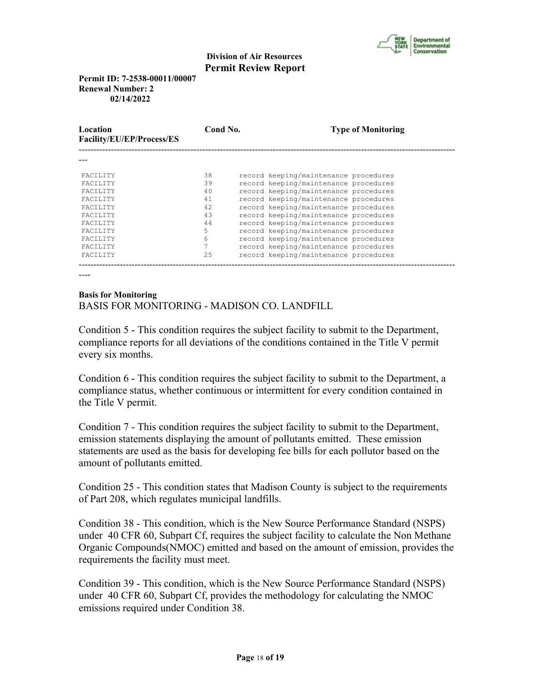

**Permit ID: 7-2538-00011/00007 Renewal Number: 2 02/14/2022**

| Location<br>Facility/EU/EP/Process/ES | Cond No. |                                       | <b>Type of Monitoring</b> |
|---------------------------------------|----------|---------------------------------------|---------------------------|
|                                       |          |                                       |                           |
| FACTLITY                              | 38       | record keeping/maintenance procedures |                           |
| <b>FACTLITY</b>                       | 39       | record keeping/maintenance procedures |                           |
| <b>FACTLITY</b>                       | 40       | record keeping/maintenance procedures |                           |
| <b>FACTLITY</b>                       | 41       | record keeping/maintenance procedures |                           |
| <b>FACTLITY</b>                       | 42       | record keeping/maintenance procedures |                           |
| <b>FACTLITY</b>                       | 43       | record keeping/maintenance procedures |                           |
| <b>FACTLITY</b>                       | 44       | record keeping/maintenance procedures |                           |
| <b>FACTLITY</b>                       | 5        | record keeping/maintenance procedures |                           |
| <b>FACTLITY</b>                       | 6        | record keeping/maintenance procedures |                           |
| FACILITY                              |          | record keeping/maintenance procedures |                           |
| FACILITY                              | 25       | record keeping/maintenance procedures |                           |
|                                       |          |                                       |                           |

----

# **Basis for Monitoring** BASIS FOR MONITORING - MADISON CO. LANDFILL

Condition 5 - This condition requires the subject facility to submit to the Department, compliance reports for all deviations of the conditions contained in the Title V permit every six months.

Condition 6 - This condition requires the subject facility to submit to the Department, a compliance status, whether continuous or intermittent for every condition contained in the Title V permit.

Condition 7 - This condition requires the subject facility to submit to the Department, emission statements displaying the amount of pollutants emitted. These emission statements are used as the basis for developing fee bills for each pollutor based on the amount of pollutants emitted.

Condition 25 - This condition states that Madison County is subject to the requirements of Part 208, which regulates municipal landfills.

Condition 38 - This condition, which is the New Source Performance Standard (NSPS) under 40 CFR 60, Subpart Cf, requires the subject facility to calculate the Non Methane Organic Compounds(NMOC) emitted and based on the amount of emission, provides the requirements the facility must meet.

Condition 39 - This condition, which is the New Source Performance Standard (NSPS) under 40 CFR 60, Subpart Cf, provides the methodology for calculating the NMOC emissions required under Condition 38.